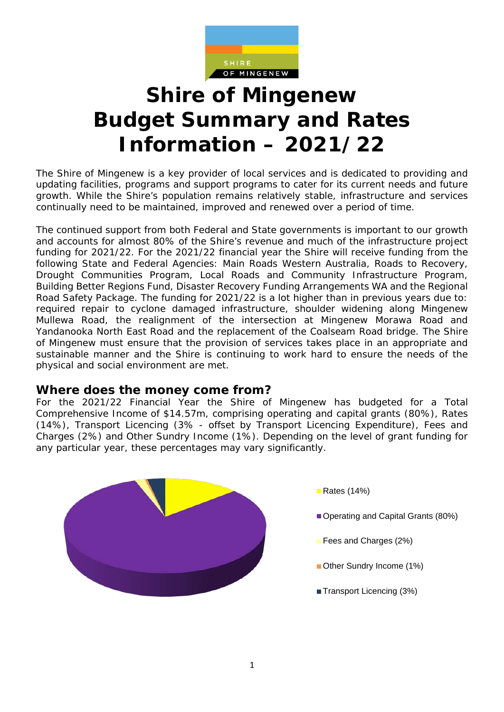

# **Shire of Mingenew Budget Summary and Rates Information – 2021/22**

The Shire of Mingenew is a key provider of local services and is dedicated to providing and updating facilities, programs and support programs to cater for its current needs and future growth. While the Shire's population remains relatively stable, infrastructure and services continually need to be maintained, improved and renewed over a period of time.

The continued support from both Federal and State governments is important to our growth and accounts for almost 80% of the Shire's revenue and much of the infrastructure project funding for 2021/22. For the 2021/22 financial year the Shire will receive funding from the following State and Federal Agencies: Main Roads Western Australia, Roads to Recovery, Drought Communities Program, Local Roads and Community Infrastructure Program, Building Better Regions Fund, Disaster Recovery Funding Arrangements WA and the Regional Road Safety Package. The funding for 2021/22 is a lot higher than in previous years due to: required repair to cyclone damaged infrastructure, shoulder widening along Mingenew Mullewa Road, the realignment of the intersection at Mingenew Morawa Road and Yandanooka North East Road and the replacement of the Coalseam Road bridge. The Shire of Mingenew must ensure that the provision of services takes place in an appropriate and sustainable manner and the Shire is continuing to work hard to ensure the needs of the physical and social environment are met.

## **Where does the money come from?**

For the 2021/22 Financial Year the Shire of Mingenew has budgeted for a Total Comprehensive Income of \$14.57m, comprising operating and capital grants (80%), Rates (14%), Transport Licencing (3% - offset by Transport Licencing Expenditure), Fees and Charges (2%) and Other Sundry Income (1%). Depending on the level of grant funding for any particular year, these percentages may vary significantly.

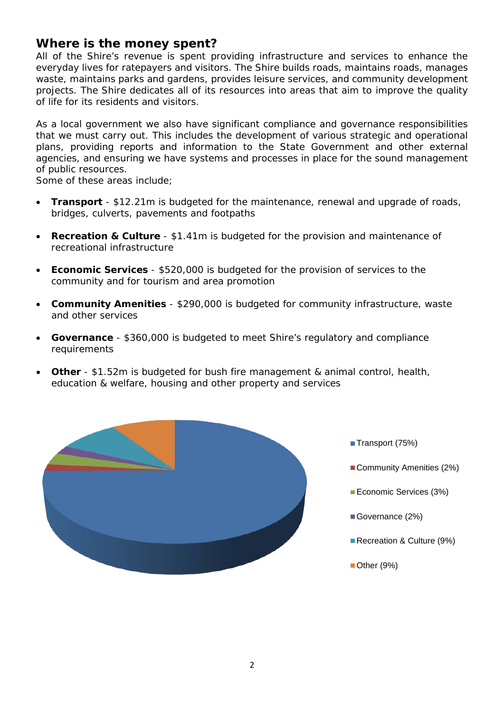# **Where is the money spent?**

All of the Shire's revenue is spent providing infrastructure and services to enhance the everyday lives for ratepayers and visitors. The Shire builds roads, maintains roads, manages waste, maintains parks and gardens, provides leisure services, and community development projects. The Shire dedicates all of its resources into areas that aim to improve the quality of life for its residents and visitors.

As a local government we also have significant compliance and governance responsibilities that we must carry out. This includes the development of various strategic and operational plans, providing reports and information to the State Government and other external agencies, and ensuring we have systems and processes in place for the sound management of public resources.

Some of these areas include;

- **Transport** \$12.21m is budgeted for the maintenance, renewal and upgrade of roads, bridges, culverts, pavements and footpaths
- **Recreation & Culture**  \$1.41m is budgeted for the provision and maintenance of recreational infrastructure
- **Economic Services**  \$520,000 is budgeted for the provision of services to the community and for tourism and area promotion
- **Community Amenities**  \$290,000 is budgeted for community infrastructure, waste and other services
- **Governance** \$360,000 is budgeted to meet Shire's regulatory and compliance requirements
- **Other**  \$1.52m is budgeted for bush fire management & animal control, health, education & welfare, housing and other property and services



- Transport (75%)
- Community Amenities (2%)
- Economic Services (3%)
- Governance (2%)
- Recreation & Culture (9%)
- Other (9%)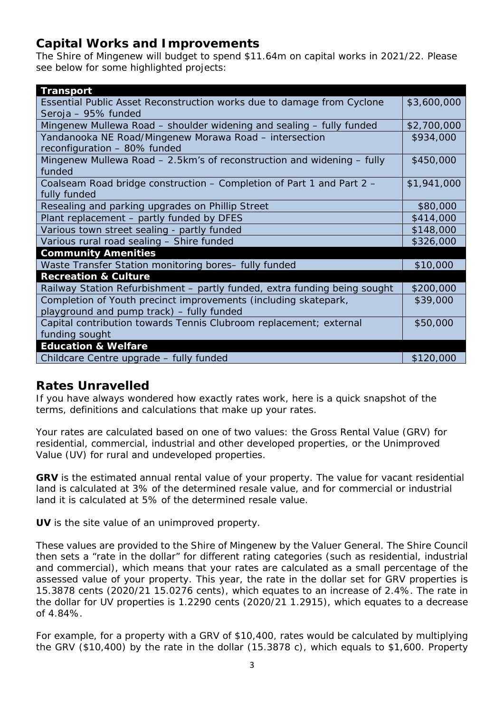# **Capital Works and Improvements**

The Shire of Mingenew will budget to spend \$11.64m on capital works in 2021/22. Please see below for some highlighted projects:

| <b>Transport</b>                                                                                             |             |
|--------------------------------------------------------------------------------------------------------------|-------------|
| Essential Public Asset Reconstruction works due to damage from Cyclone<br>Seroja - 95% funded                | \$3,600,000 |
| Mingenew Mullewa Road - shoulder widening and sealing - fully funded                                         | \$2,700,000 |
| Yandanooka NE Road/Mingenew Morawa Road - intersection<br>reconfiguration - 80% funded                       | \$934,000   |
| Mingenew Mullewa Road – 2.5km's of reconstruction and widening – fully<br>funded                             | \$450,000   |
| Coalseam Road bridge construction – Completion of Part 1 and Part 2 –<br>fully funded                        | \$1,941,000 |
| Resealing and parking upgrades on Phillip Street                                                             | \$80,000    |
| Plant replacement - partly funded by DFES                                                                    | \$414,000   |
| Various town street sealing - partly funded                                                                  | \$148,000   |
| Various rural road sealing - Shire funded                                                                    | \$326,000   |
| <b>Community Amenities</b>                                                                                   |             |
| Waste Transfer Station monitoring bores- fully funded                                                        | \$10,000    |
| <b>Recreation &amp; Culture</b>                                                                              |             |
| Railway Station Refurbishment - partly funded, extra funding being sought                                    | \$200,000   |
| Completion of Youth precinct improvements (including skatepark,<br>playground and pump track) - fully funded | \$39,000    |
| Capital contribution towards Tennis Clubroom replacement; external<br>funding sought                         | \$50,000    |
| <b>Education &amp; Welfare</b>                                                                               |             |
| Childcare Centre upgrade - fully funded                                                                      | \$120,000   |

# **Rates Unravelled**

If you have always wondered how exactly rates work, here is a quick snapshot of the terms, definitions and calculations that make up your rates.

Your rates are calculated based on one of two values: the Gross Rental Value (GRV) for residential, commercial, industrial and other developed properties, or the Unimproved Value (UV) for rural and undeveloped properties.

**GRV** is the estimated annual rental value of your property. The value for vacant residential land is calculated at 3% of the determined resale value, and for commercial or industrial land it is calculated at 5% of the determined resale value.

**UV** is the site value of an unimproved property.

These values are provided to the Shire of Mingenew by the Valuer General. The Shire Council then sets a "rate in the dollar" for different rating categories (such as residential, industrial and commercial), which means that your rates are calculated as a small percentage of the assessed value of your property. This year, the rate in the dollar set for GRV properties is 15.3878 cents (2020/21 15.0276 cents), which equates to an increase of 2.4%. The rate in the dollar for UV properties is 1.2290 cents (2020/21 1.2915), which equates to a decrease of 4.84%.

For example, for a property with a GRV of \$10,400, rates would be calculated by multiplying the GRV (\$10,400) by the rate in the dollar (15.3878 c), which equals to \$1,600. Property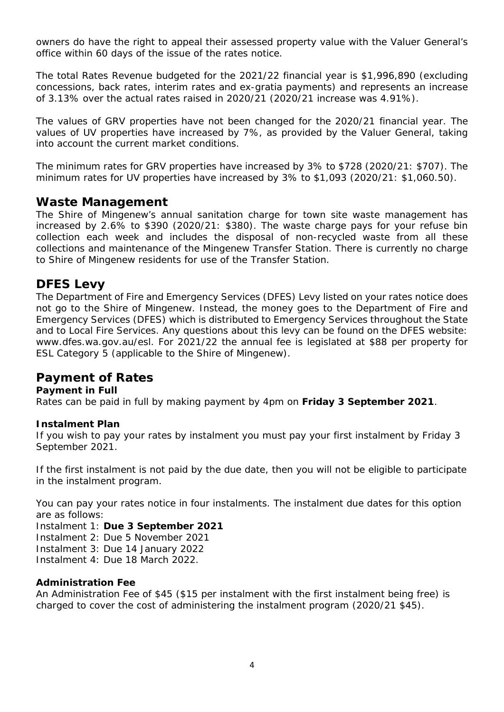owners do have the right to appeal their assessed property value with the Valuer General's office within 60 days of the issue of the rates notice.

The total Rates Revenue budgeted for the 2021/22 financial year is \$1,996,890 (excluding concessions, back rates, interim rates and ex-gratia payments) and represents an increase of 3.13% over the actual rates raised in 2020/21 (2020/21 increase was 4.91%).

The values of GRV properties have not been changed for the 2020/21 financial year. The values of UV properties have increased by 7%, as provided by the Valuer General, taking into account the current market conditions.

The minimum rates for GRV properties have increased by 3% to \$728 (2020/21: \$707). The minimum rates for UV properties have increased by 3% to \$1,093 (2020/21: \$1,060.50).

## **Waste Management**

The Shire of Mingenew's annual sanitation charge for town site waste management has increased by 2.6% to \$390 (2020/21: \$380). The waste charge pays for your refuse bin collection each week and includes the disposal of non-recycled waste from all these collections and maintenance of the Mingenew Transfer Station. There is currently no charge to Shire of Mingenew residents for use of the Transfer Station.

# **DFES Levy**

The Department of Fire and Emergency Services (DFES) Levy listed on your rates notice does not go to the Shire of Mingenew. Instead, the money goes to the Department of Fire and Emergency Services (DFES) which is distributed to Emergency Services throughout the State and to Local Fire Services. Any questions about this levy can be found on the DFES website: www.dfes.wa.gov.au/esl. For 2021/22 the annual fee is legislated at \$88 per property for ESL Category 5 (applicable to the Shire of Mingenew).

# **Payment of Rates**

#### **Payment in Full**

Rates can be paid in full by making payment by 4pm on **Friday 3 September 2021**.

#### **Instalment Plan**

If you wish to pay your rates by instalment you must pay your first instalment by Friday 3 September 2021.

If the first instalment is not paid by the due date, then you will not be eligible to participate in the instalment program.

You can pay your rates notice in four instalments. The instalment due dates for this option are as follows:

Instalment 1: **Due 3 September 2021**

Instalment 2: Due 5 November 2021

Instalment 3: Due 14 January 2022

Instalment 4: Due 18 March 2022.

#### **Administration Fee**

An Administration Fee of \$45 (\$15 per instalment with the first instalment being free) is charged to cover the cost of administering the instalment program (2020/21 \$45).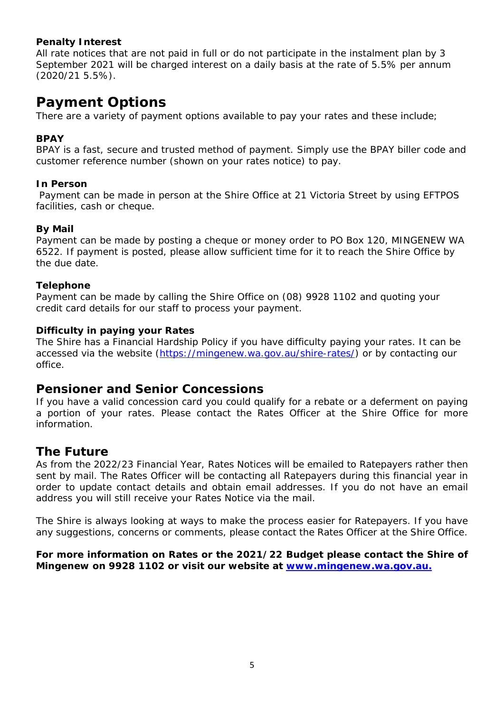#### **Penalty Interest**

All rate notices that are not paid in full or do not participate in the instalment plan by 3 September 2021 will be charged interest on a daily basis at the rate of 5.5% per annum (2020/21 5.5%).

# **Payment Options**

There are a variety of payment options available to pay your rates and these include;

#### **BPAY**

BPAY is a fast, secure and trusted method of payment. Simply use the BPAY biller code and customer reference number (shown on your rates notice) to pay.

#### **In Person**

Payment can be made in person at the Shire Office at 21 Victoria Street by using EFTPOS facilities, cash or cheque.

#### **By Mail**

Payment can be made by posting a cheque or money order to PO Box 120, MINGENEW WA 6522. If payment is posted, please allow sufficient time for it to reach the Shire Office by the due date.

#### **Telephone**

Payment can be made by calling the Shire Office on (08) 9928 1102 and quoting your credit card details for our staff to process your payment.

#### **Difficulty in paying your Rates**

The Shire has a Financial Hardship Policy if you have difficulty paying your rates. It can be accessed via the website [\(https://mingenew.wa.gov.au/shire-rates/\)](https://mingenew.wa.gov.au/shire-rates/) or by contacting our office.

## **Pensioner and Senior Concessions**

If you have a valid concession card you could qualify for a rebate or a deferment on paying a portion of your rates. Please contact the Rates Officer at the Shire Office for more information.

# **The Future**

As from the 2022/23 Financial Year, Rates Notices will be emailed to Ratepayers rather then sent by mail. The Rates Officer will be contacting all Ratepayers during this financial year in order to update contact details and obtain email addresses. If you do not have an email address you will still receive your Rates Notice via the mail.

The Shire is always looking at ways to make the process easier for Ratepayers. If you have any suggestions, concerns or comments, please contact the Rates Officer at the Shire Office.

**For more information on Rates or the 2021/22 Budget please contact the Shire of Mingenew on 9928 1102 or visit our website at [www.mingenew.wa.gov.au.](http://www.mingenew.wa.gov.au/)**